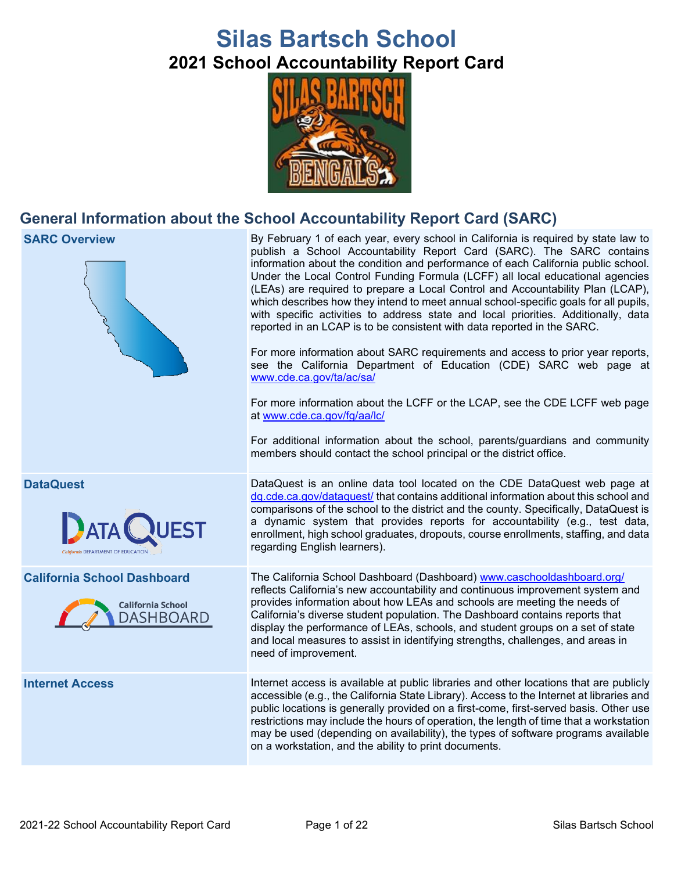# **Silas Bartsch School 2021 School Accountability Report Card**



# **General Information about the School Accountability Report Card (SARC)**

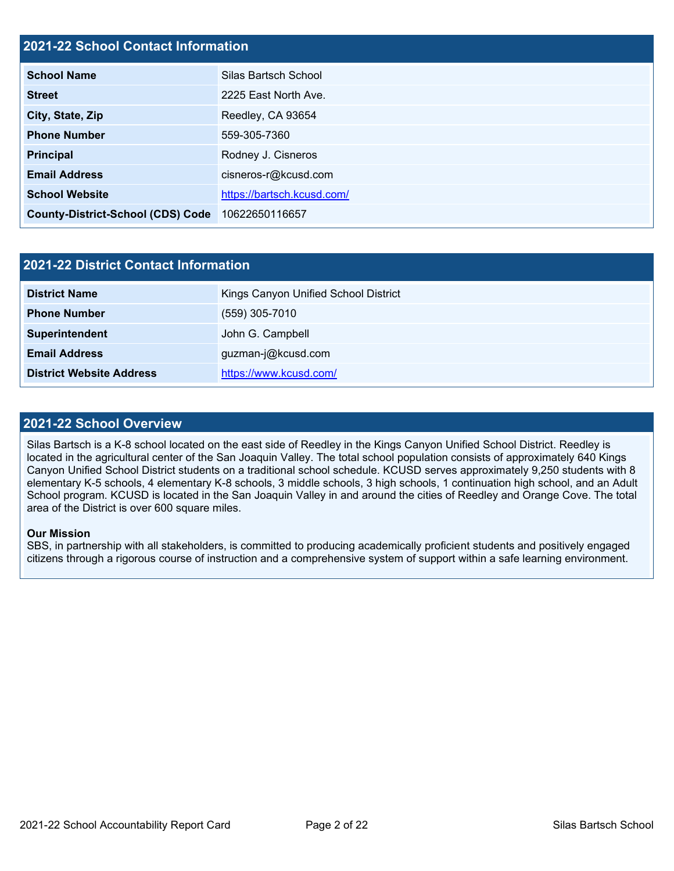#### **2021-22 School Contact Information**

| <b>School Name</b>                       | Silas Bartsch School       |
|------------------------------------------|----------------------------|
| <b>Street</b>                            | 2225 East North Ave.       |
| City, State, Zip                         | Reedley, CA 93654          |
| <b>Phone Number</b>                      | 559-305-7360               |
| <b>Principal</b>                         | Rodney J. Cisneros         |
| <b>Email Address</b>                     | cisneros-r@kcusd.com       |
| <b>School Website</b>                    | https://bartsch.kcusd.com/ |
| <b>County-District-School (CDS) Code</b> | 10622650116657             |

| 2021-22 District Contact Information |                                      |  |  |  |
|--------------------------------------|--------------------------------------|--|--|--|
| <b>District Name</b>                 | Kings Canyon Unified School District |  |  |  |
| <b>Phone Number</b>                  | $(559)$ 305-7010                     |  |  |  |
| Superintendent                       | John G. Campbell                     |  |  |  |
| <b>Email Address</b>                 | guzman-j@kcusd.com                   |  |  |  |
| <b>District Website Address</b>      | https://www.kcusd.com/               |  |  |  |

#### **2021-22 School Overview**

Silas Bartsch is a K-8 school located on the east side of Reedley in the Kings Canyon Unified School District. Reedley is located in the agricultural center of the San Joaquin Valley. The total school population consists of approximately 640 Kings Canyon Unified School District students on a traditional school schedule. KCUSD serves approximately 9,250 students with 8 elementary K-5 schools, 4 elementary K-8 schools, 3 middle schools, 3 high schools, 1 continuation high school, and an Adult School program. KCUSD is located in the San Joaquin Valley in and around the cities of Reedley and Orange Cove. The total area of the District is over 600 square miles.

#### **Our Mission**

SBS, in partnership with all stakeholders, is committed to producing academically proficient students and positively engaged citizens through a rigorous course of instruction and a comprehensive system of support within a safe learning environment.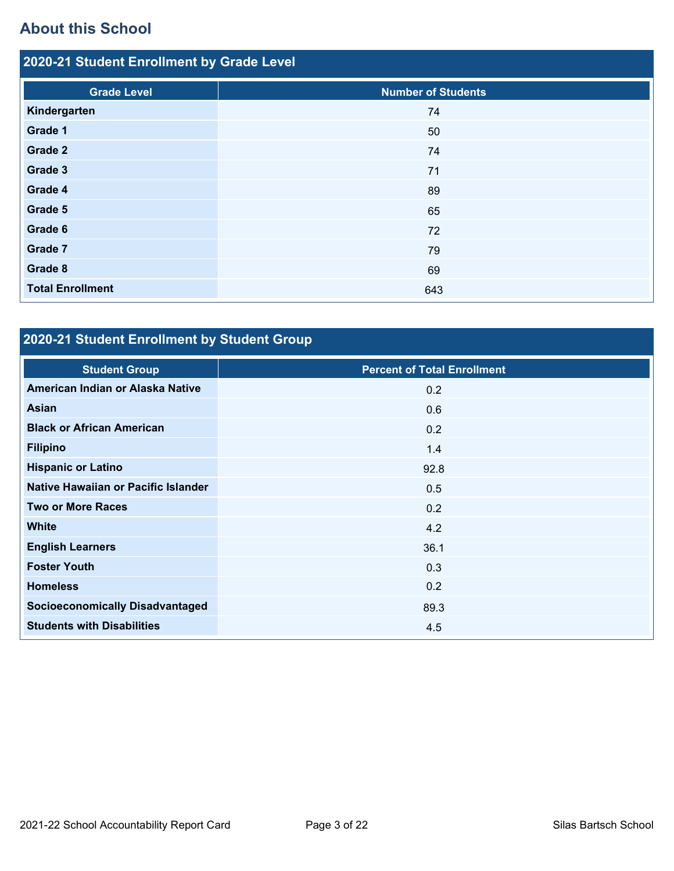# **About this School**

| 2020-21 Student Enrollment by Grade Level |                           |  |  |  |
|-------------------------------------------|---------------------------|--|--|--|
| <b>Grade Level</b>                        | <b>Number of Students</b> |  |  |  |
| Kindergarten                              | 74                        |  |  |  |
| Grade 1                                   | 50                        |  |  |  |
| Grade 2                                   | 74                        |  |  |  |
| Grade 3                                   | 71                        |  |  |  |
| Grade 4                                   | 89                        |  |  |  |
| Grade 5                                   | 65                        |  |  |  |
| Grade 6                                   | 72                        |  |  |  |
| Grade 7                                   | 79                        |  |  |  |
| Grade 8                                   | 69                        |  |  |  |
| <b>Total Enrollment</b>                   | 643                       |  |  |  |

# **2020-21 Student Enrollment by Student Group**

| <b>Student Group</b>                   | <b>Percent of Total Enrollment</b> |
|----------------------------------------|------------------------------------|
| American Indian or Alaska Native       | 0.2                                |
| <b>Asian</b>                           | 0.6                                |
| <b>Black or African American</b>       | 0.2                                |
| <b>Filipino</b>                        | 1.4                                |
| <b>Hispanic or Latino</b>              | 92.8                               |
| Native Hawaiian or Pacific Islander    | 0.5                                |
| <b>Two or More Races</b>               | 0.2                                |
| <b>White</b>                           | 4.2                                |
| <b>English Learners</b>                | 36.1                               |
| <b>Foster Youth</b>                    | 0.3                                |
| <b>Homeless</b>                        | 0.2                                |
| <b>Socioeconomically Disadvantaged</b> | 89.3                               |
| <b>Students with Disabilities</b>      | 4.5                                |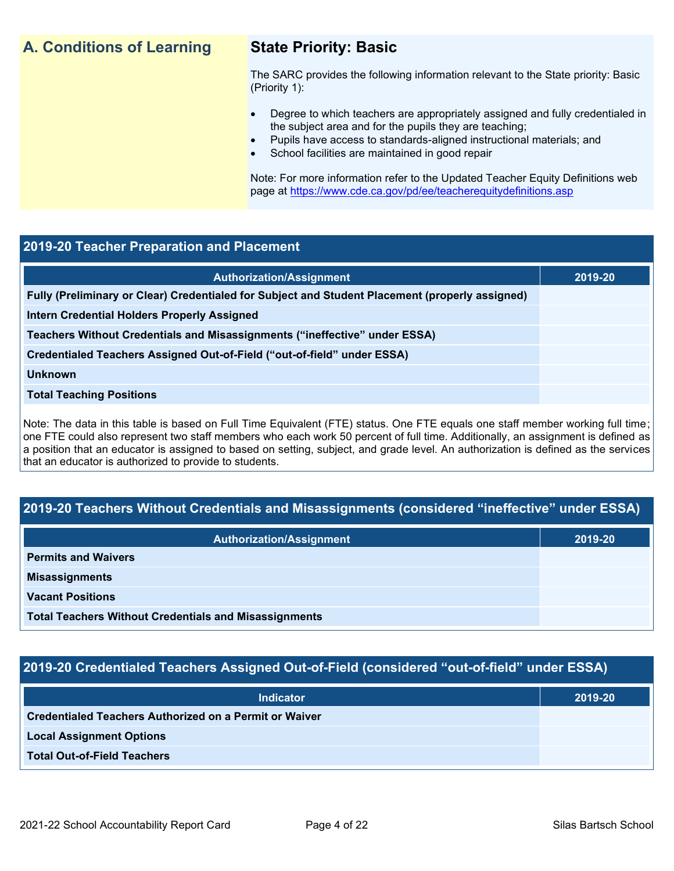# **A. Conditions of Learning State Priority: Basic**

The SARC provides the following information relevant to the State priority: Basic (Priority 1):

- Degree to which teachers are appropriately assigned and fully credentialed in the subject area and for the pupils they are teaching;
	- Pupils have access to standards-aligned instructional materials; and
- School facilities are maintained in good repair

Note: For more information refer to the Updated Teacher Equity Definitions web page at<https://www.cde.ca.gov/pd/ee/teacherequitydefinitions.asp>

#### **2019-20 Teacher Preparation and Placement**

| <b>Authorization/Assignment</b>                                                                 | 2019-20 |
|-------------------------------------------------------------------------------------------------|---------|
| Fully (Preliminary or Clear) Credentialed for Subject and Student Placement (properly assigned) |         |
| Intern Credential Holders Properly Assigned                                                     |         |
| Teachers Without Credentials and Misassignments ("ineffective" under ESSA)                      |         |
| Credentialed Teachers Assigned Out-of-Field ("out-of-field" under ESSA)                         |         |
| <b>Unknown</b>                                                                                  |         |
| <b>Total Teaching Positions</b>                                                                 |         |
|                                                                                                 |         |

Note: The data in this table is based on Full Time Equivalent (FTE) status. One FTE equals one staff member working full time; one FTE could also represent two staff members who each work 50 percent of full time. Additionally, an assignment is defined as a position that an educator is assigned to based on setting, subject, and grade level. An authorization is defined as the services that an educator is authorized to provide to students.

### **2019-20 Teachers Without Credentials and Misassignments (considered "ineffective" under ESSA)**

| <b>Authorization/Assignment</b>                              | 2019-20 |
|--------------------------------------------------------------|---------|
| <b>Permits and Waivers</b>                                   |         |
| <b>Misassignments</b>                                        |         |
| <b>Vacant Positions</b>                                      |         |
| <b>Total Teachers Without Credentials and Misassignments</b> |         |

### **2019-20 Credentialed Teachers Assigned Out-of-Field (considered "out-of-field" under ESSA)**

| <b>Indicator</b>                                              | 2019-20 |
|---------------------------------------------------------------|---------|
| <b>Credentialed Teachers Authorized on a Permit or Waiver</b> |         |
| <b>Local Assignment Options</b>                               |         |
| <b>Total Out-of-Field Teachers</b>                            |         |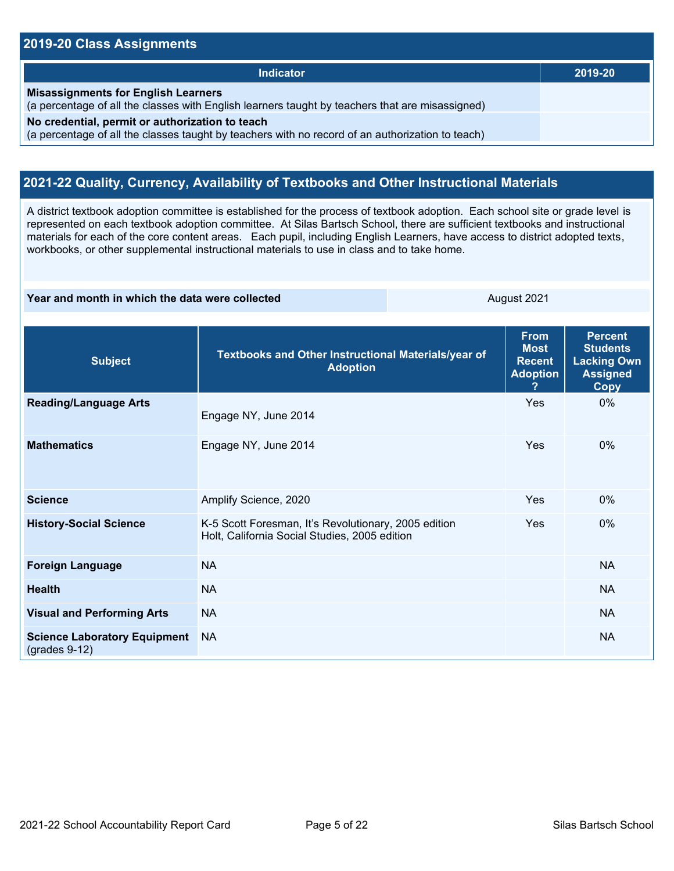#### **2019-20 Class Assignments**

| <b>Indicator</b>                                                                                                                                    | 2019-20 |
|-----------------------------------------------------------------------------------------------------------------------------------------------------|---------|
| <b>Misassignments for English Learners</b><br>(a percentage of all the classes with English learners taught by teachers that are misassigned)       |         |
| No credential, permit or authorization to teach<br>(a percentage of all the classes taught by teachers with no record of an authorization to teach) |         |

## **2021-22 Quality, Currency, Availability of Textbooks and Other Instructional Materials**

A district textbook adoption committee is established for the process of textbook adoption. Each school site or grade level is represented on each textbook adoption committee. At Silas Bartsch School, there are sufficient textbooks and instructional materials for each of the core content areas. Each pupil, including English Learners, have access to district adopted texts, workbooks, or other supplemental instructional materials to use in class and to take home.

#### **Year and month in which the data were collected** August 2021

| <b>Subject</b>                                         | Textbooks and Other Instructional Materials/year of<br><b>Adoption</b>                                | <b>From</b><br><b>Most</b><br><b>Recent</b><br><b>Adoption</b> | <b>Percent</b><br><b>Students</b><br><b>Lacking Own</b><br><b>Assigned</b><br><b>Copy</b> |
|--------------------------------------------------------|-------------------------------------------------------------------------------------------------------|----------------------------------------------------------------|-------------------------------------------------------------------------------------------|
| <b>Reading/Language Arts</b>                           | Engage NY, June 2014                                                                                  | Yes                                                            | $0\%$                                                                                     |
| <b>Mathematics</b>                                     | Engage NY, June 2014                                                                                  | Yes                                                            | $0\%$                                                                                     |
| <b>Science</b>                                         | Amplify Science, 2020                                                                                 | Yes                                                            | $0\%$                                                                                     |
| <b>History-Social Science</b>                          | K-5 Scott Foresman, It's Revolutionary, 2005 edition<br>Holt, California Social Studies, 2005 edition | Yes                                                            | $0\%$                                                                                     |
| <b>Foreign Language</b>                                | <b>NA</b>                                                                                             |                                                                | <b>NA</b>                                                                                 |
| <b>Health</b>                                          | <b>NA</b>                                                                                             |                                                                | <b>NA</b>                                                                                 |
| <b>Visual and Performing Arts</b>                      | <b>NA</b>                                                                                             |                                                                | <b>NA</b>                                                                                 |
| <b>Science Laboratory Equipment</b><br>$(grades 9-12)$ | <b>NA</b>                                                                                             |                                                                | <b>NA</b>                                                                                 |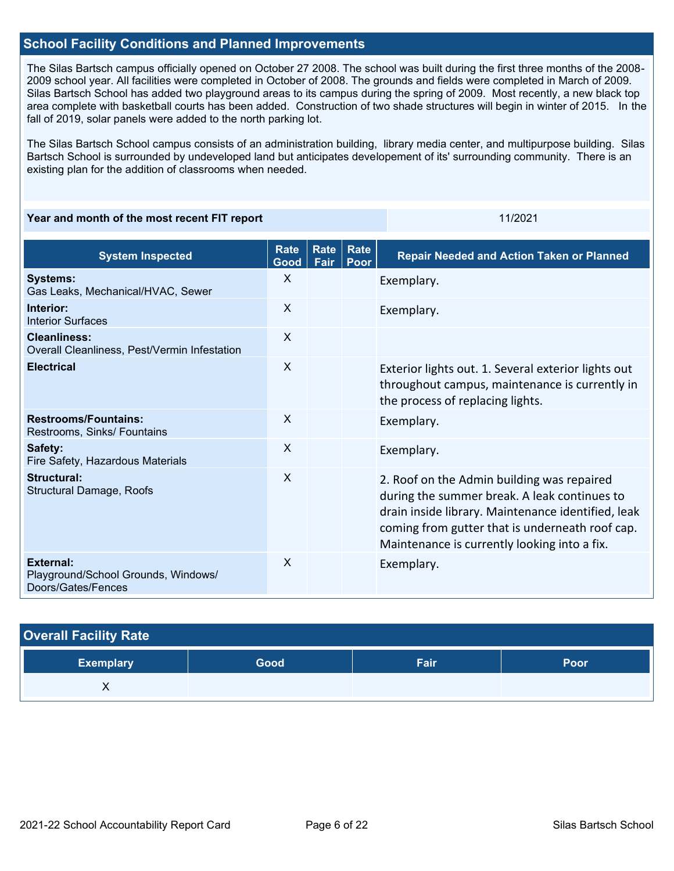#### **School Facility Conditions and Planned Improvements**

The Silas Bartsch campus officially opened on October 27 2008. The school was built during the first three months of the 2008- 2009 school year. All facilities were completed in October of 2008. The grounds and fields were completed in March of 2009. Silas Bartsch School has added two playground areas to its campus during the spring of 2009. Most recently, a new black top area complete with basketball courts has been added. Construction of two shade structures will begin in winter of 2015. In the fall of 2019, solar panels were added to the north parking lot.

The Silas Bartsch School campus consists of an administration building, library media center, and multipurpose building. Silas Bartsch School is surrounded by undeveloped land but anticipates developement of its' surrounding community. There is an existing plan for the addition of classrooms when needed.

#### **Year and month of the most recent FIT report** 11/2021 11/2021

| <b>System Inspected</b>                                                       | <b>Rate</b><br>Good       | <b>Rate</b><br>Fair | Rate<br>Poor | <b>Repair Needed and Action Taken or Planned</b>                                                                                                                                                                                                    |
|-------------------------------------------------------------------------------|---------------------------|---------------------|--------------|-----------------------------------------------------------------------------------------------------------------------------------------------------------------------------------------------------------------------------------------------------|
| <b>Systems:</b><br>Gas Leaks, Mechanical/HVAC, Sewer                          | $\mathsf{X}$              |                     |              | Exemplary.                                                                                                                                                                                                                                          |
| Interior:<br><b>Interior Surfaces</b>                                         | X                         |                     |              | Exemplary.                                                                                                                                                                                                                                          |
| <b>Cleanliness:</b><br>Overall Cleanliness, Pest/Vermin Infestation           | $\sf X$                   |                     |              |                                                                                                                                                                                                                                                     |
| <b>Electrical</b>                                                             | $\mathsf{X}$              |                     |              | Exterior lights out. 1. Several exterior lights out<br>throughout campus, maintenance is currently in<br>the process of replacing lights.                                                                                                           |
| <b>Restrooms/Fountains:</b><br>Restrooms, Sinks/ Fountains                    | $\times$                  |                     |              | Exemplary.                                                                                                                                                                                                                                          |
| Safety:<br>Fire Safety, Hazardous Materials                                   | $\boldsymbol{\mathsf{X}}$ |                     |              | Exemplary.                                                                                                                                                                                                                                          |
| Structural:<br><b>Structural Damage, Roofs</b>                                | $\sf X$                   |                     |              | 2. Roof on the Admin building was repaired<br>during the summer break. A leak continues to<br>drain inside library. Maintenance identified, leak<br>coming from gutter that is underneath roof cap.<br>Maintenance is currently looking into a fix. |
| <b>External:</b><br>Playground/School Grounds, Windows/<br>Doors/Gates/Fences | X                         |                     |              | Exemplary.                                                                                                                                                                                                                                          |

| <b>Overall Facility Rate</b> |      |      |      |  |  |
|------------------------------|------|------|------|--|--|
| <b>Exemplary</b>             | Good | Fair | Poor |  |  |
|                              |      |      |      |  |  |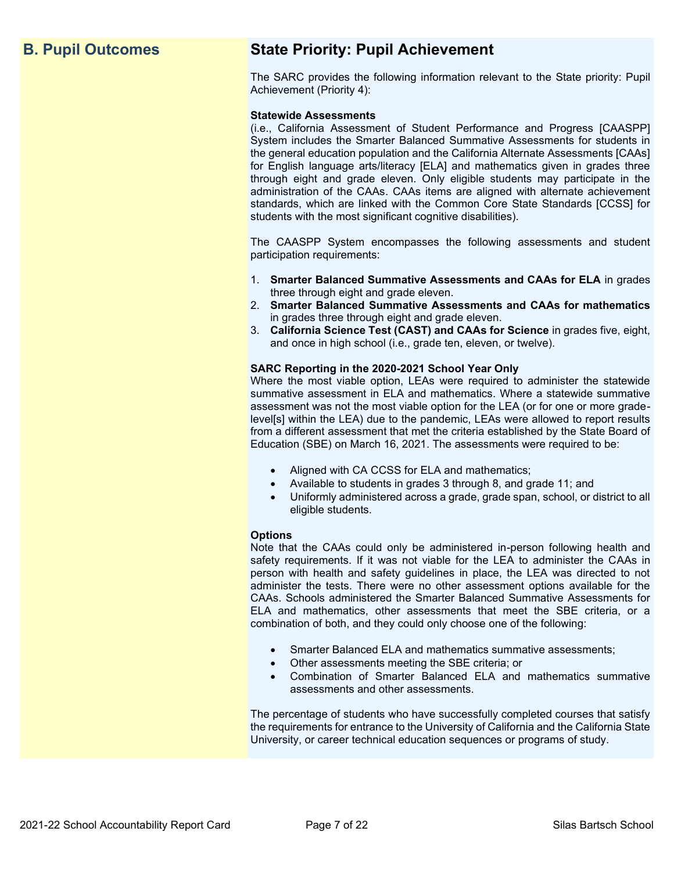# **B. Pupil Outcomes State Priority: Pupil Achievement**

The SARC provides the following information relevant to the State priority: Pupil Achievement (Priority 4):

#### **Statewide Assessments**

(i.e., California Assessment of Student Performance and Progress [CAASPP] System includes the Smarter Balanced Summative Assessments for students in the general education population and the California Alternate Assessments [CAAs] for English language arts/literacy [ELA] and mathematics given in grades three through eight and grade eleven. Only eligible students may participate in the administration of the CAAs. CAAs items are aligned with alternate achievement standards, which are linked with the Common Core State Standards [CCSS] for students with the most significant cognitive disabilities).

The CAASPP System encompasses the following assessments and student participation requirements:

- 1. **Smarter Balanced Summative Assessments and CAAs for ELA** in grades three through eight and grade eleven.
- 2. **Smarter Balanced Summative Assessments and CAAs for mathematics** in grades three through eight and grade eleven.
- 3. **California Science Test (CAST) and CAAs for Science** in grades five, eight, and once in high school (i.e., grade ten, eleven, or twelve).

#### **SARC Reporting in the 2020-2021 School Year Only**

Where the most viable option, LEAs were required to administer the statewide summative assessment in ELA and mathematics. Where a statewide summative assessment was not the most viable option for the LEA (or for one or more gradelevel[s] within the LEA) due to the pandemic, LEAs were allowed to report results from a different assessment that met the criteria established by the State Board of Education (SBE) on March 16, 2021. The assessments were required to be:

- Aligned with CA CCSS for ELA and mathematics;
- Available to students in grades 3 through 8, and grade 11; and
- Uniformly administered across a grade, grade span, school, or district to all eligible students.

#### **Options**

Note that the CAAs could only be administered in-person following health and safety requirements. If it was not viable for the LEA to administer the CAAs in person with health and safety guidelines in place, the LEA was directed to not administer the tests. There were no other assessment options available for the CAAs. Schools administered the Smarter Balanced Summative Assessments for ELA and mathematics, other assessments that meet the SBE criteria, or a combination of both, and they could only choose one of the following:

- Smarter Balanced ELA and mathematics summative assessments;
- Other assessments meeting the SBE criteria; or
- Combination of Smarter Balanced ELA and mathematics summative assessments and other assessments.

The percentage of students who have successfully completed courses that satisfy the requirements for entrance to the University of California and the California State University, or career technical education sequences or programs of study.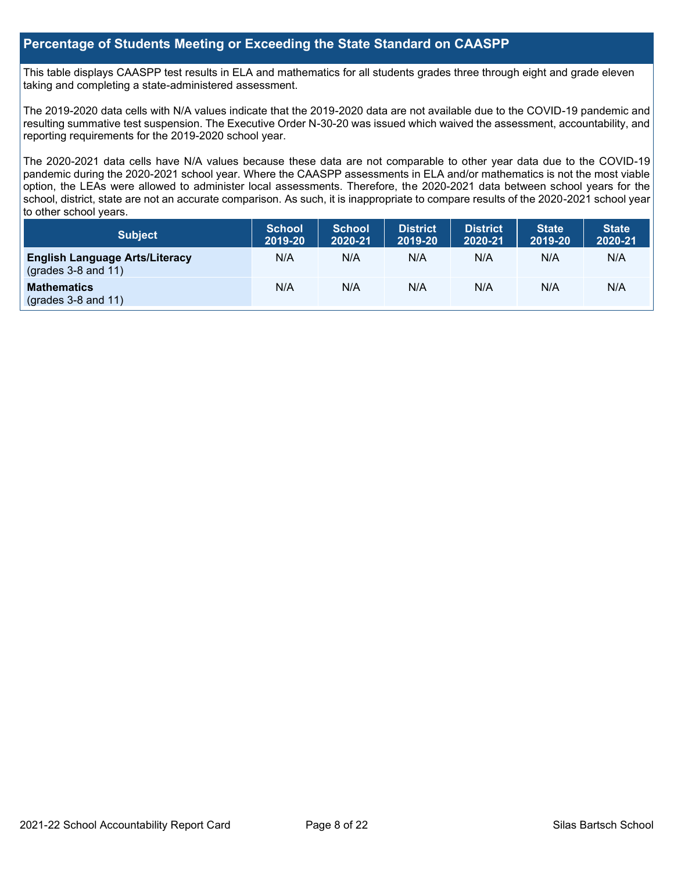#### **Percentage of Students Meeting or Exceeding the State Standard on CAASPP**

This table displays CAASPP test results in ELA and mathematics for all students grades three through eight and grade eleven taking and completing a state-administered assessment.

The 2019-2020 data cells with N/A values indicate that the 2019-2020 data are not available due to the COVID-19 pandemic and resulting summative test suspension. The Executive Order N-30-20 was issued which waived the assessment, accountability, and reporting requirements for the 2019-2020 school year.

The 2020-2021 data cells have N/A values because these data are not comparable to other year data due to the COVID-19 pandemic during the 2020-2021 school year. Where the CAASPP assessments in ELA and/or mathematics is not the most viable option, the LEAs were allowed to administer local assessments. Therefore, the 2020-2021 data between school years for the school, district, state are not an accurate comparison. As such, it is inappropriate to compare results of the 2020-2021 school year to other school years.

| Subject                                                              | <b>School</b><br>2019-20 | <b>School</b><br>2020-21 | <b>District</b><br>2019-20 | <b>District</b><br>2020-21 | <b>State</b><br>2019-20 | <b>State</b><br>2020-21 |
|----------------------------------------------------------------------|--------------------------|--------------------------|----------------------------|----------------------------|-------------------------|-------------------------|
| <b>English Language Arts/Literacy</b><br>$\left($ grades 3-8 and 11) | N/A                      | N/A                      | N/A                        | N/A                        | N/A                     | N/A                     |
| <b>Mathematics</b><br>$(grades 3-8 and 11)$                          | N/A                      | N/A                      | N/A                        | N/A                        | N/A                     | N/A                     |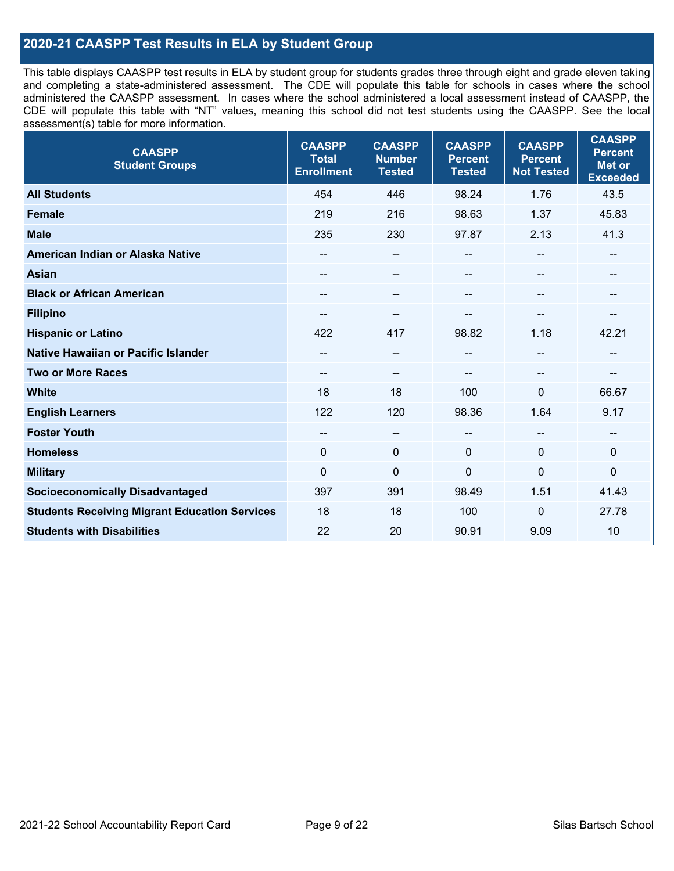### **2020-21 CAASPP Test Results in ELA by Student Group**

This table displays CAASPP test results in ELA by student group for students grades three through eight and grade eleven taking and completing a state-administered assessment. The CDE will populate this table for schools in cases where the school administered the CAASPP assessment. In cases where the school administered a local assessment instead of CAASPP, the CDE will populate this table with "NT" values, meaning this school did not test students using the CAASPP. See the local assessment(s) table for more information.

| <b>CAASPP</b><br><b>Student Groups</b>               | <b>CAASPP</b><br><b>Total</b><br><b>Enrollment</b> | <b>CAASPP</b><br><b>Number</b><br><b>Tested</b> | <b>CAASPP</b><br><b>Percent</b><br><b>Tested</b> | <b>CAASPP</b><br><b>Percent</b><br><b>Not Tested</b> | <b>CAASPP</b><br><b>Percent</b><br><b>Met or</b><br><b>Exceeded</b> |
|------------------------------------------------------|----------------------------------------------------|-------------------------------------------------|--------------------------------------------------|------------------------------------------------------|---------------------------------------------------------------------|
| <b>All Students</b>                                  | 454                                                | 446                                             | 98.24                                            | 1.76                                                 | 43.5                                                                |
| <b>Female</b>                                        | 219                                                | 216                                             | 98.63                                            | 1.37                                                 | 45.83                                                               |
| <b>Male</b>                                          | 235                                                | 230                                             | 97.87                                            | 2.13                                                 | 41.3                                                                |
| American Indian or Alaska Native                     | --                                                 | $\overline{\phantom{m}}$                        | --                                               | $\sim$                                               | --                                                                  |
| <b>Asian</b>                                         |                                                    | $\qquad \qquad -$                               | --                                               |                                                      | --                                                                  |
| <b>Black or African American</b>                     | --                                                 | $\overline{\phantom{m}}$                        | --                                               | $\sim$                                               | --                                                                  |
| <b>Filipino</b>                                      |                                                    | --                                              |                                                  |                                                      |                                                                     |
| <b>Hispanic or Latino</b>                            | 422                                                | 417                                             | 98.82                                            | 1.18                                                 | 42.21                                                               |
| <b>Native Hawaiian or Pacific Islander</b>           | --                                                 | $\overline{\phantom{m}}$                        | --                                               | $\overline{\phantom{a}}$                             | --                                                                  |
| <b>Two or More Races</b>                             | $\qquad \qquad -$                                  | --                                              | --                                               | --                                                   | --                                                                  |
| <b>White</b>                                         | 18                                                 | 18                                              | 100                                              | $\Omega$                                             | 66.67                                                               |
| <b>English Learners</b>                              | 122                                                | 120                                             | 98.36                                            | 1.64                                                 | 9.17                                                                |
| <b>Foster Youth</b>                                  | $\qquad \qquad -$                                  | --                                              | --                                               | --                                                   | --                                                                  |
| <b>Homeless</b>                                      | $\mathbf{0}$                                       | $\mathbf 0$                                     | $\mathbf{0}$                                     | $\mathbf{0}$                                         | $\mathbf 0$                                                         |
| <b>Military</b>                                      | $\mathbf 0$                                        | $\mathbf 0$                                     | 0                                                | 0                                                    | 0                                                                   |
| <b>Socioeconomically Disadvantaged</b>               | 397                                                | 391                                             | 98.49                                            | 1.51                                                 | 41.43                                                               |
| <b>Students Receiving Migrant Education Services</b> | 18                                                 | 18                                              | 100                                              | $\Omega$                                             | 27.78                                                               |
| <b>Students with Disabilities</b>                    | 22                                                 | 20                                              | 90.91                                            | 9.09                                                 | 10                                                                  |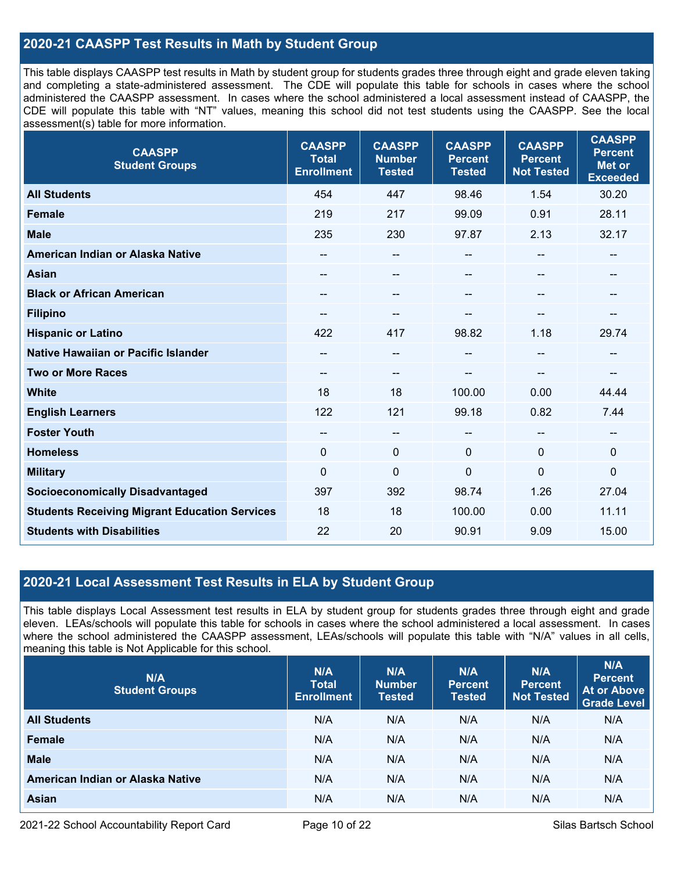### **2020-21 CAASPP Test Results in Math by Student Group**

This table displays CAASPP test results in Math by student group for students grades three through eight and grade eleven taking and completing a state-administered assessment. The CDE will populate this table for schools in cases where the school administered the CAASPP assessment. In cases where the school administered a local assessment instead of CAASPP, the CDE will populate this table with "NT" values, meaning this school did not test students using the CAASPP. See the local assessment(s) table for more information.

| <b>CAASPP</b><br><b>Student Groups</b>               | <b>CAASPP</b><br><b>Total</b><br><b>Enrollment</b> | <b>CAASPP</b><br><b>Number</b><br><b>Tested</b> | <b>CAASPP</b><br><b>Percent</b><br><b>Tested</b> | <b>CAASPP</b><br><b>Percent</b><br><b>Not Tested</b> | <b>CAASPP</b><br><b>Percent</b><br><b>Met or</b><br><b>Exceeded</b> |
|------------------------------------------------------|----------------------------------------------------|-------------------------------------------------|--------------------------------------------------|------------------------------------------------------|---------------------------------------------------------------------|
| <b>All Students</b>                                  | 454                                                | 447                                             | 98.46                                            | 1.54                                                 | 30.20                                                               |
| Female                                               | 219                                                | 217                                             | 99.09                                            | 0.91                                                 | 28.11                                                               |
| <b>Male</b>                                          | 235                                                | 230                                             | 97.87                                            | 2.13                                                 | 32.17                                                               |
| American Indian or Alaska Native                     | --                                                 | --                                              | --                                               | --                                                   | --                                                                  |
| <b>Asian</b>                                         | --                                                 | --                                              | --                                               |                                                      | --                                                                  |
| <b>Black or African American</b>                     | $\overline{\phantom{a}}$                           | --                                              | --                                               | --                                                   | --                                                                  |
| <b>Filipino</b>                                      | --                                                 | --                                              |                                                  |                                                      | --                                                                  |
| <b>Hispanic or Latino</b>                            | 422                                                | 417                                             | 98.82                                            | 1.18                                                 | 29.74                                                               |
| Native Hawaiian or Pacific Islander                  | --                                                 | $\overline{\phantom{m}}$                        | --                                               | $\sim$                                               | $\overline{\phantom{a}}$                                            |
| <b>Two or More Races</b>                             | $\qquad \qquad -$                                  | --                                              | --                                               | --                                                   | --                                                                  |
| <b>White</b>                                         | 18                                                 | 18                                              | 100.00                                           | 0.00                                                 | 44.44                                                               |
| <b>English Learners</b>                              | 122                                                | 121                                             | 99.18                                            | 0.82                                                 | 7.44                                                                |
| <b>Foster Youth</b>                                  | --                                                 | --                                              | --                                               |                                                      | --                                                                  |
| <b>Homeless</b>                                      | $\mathbf{0}$                                       | $\mathbf 0$                                     | $\mathbf 0$                                      | $\Omega$                                             | $\mathbf 0$                                                         |
| <b>Military</b>                                      | $\mathbf 0$                                        | $\mathbf 0$                                     | $\mathbf 0$                                      | $\overline{0}$                                       | $\mathbf 0$                                                         |
| <b>Socioeconomically Disadvantaged</b>               | 397                                                | 392                                             | 98.74                                            | 1.26                                                 | 27.04                                                               |
| <b>Students Receiving Migrant Education Services</b> | 18                                                 | 18                                              | 100.00                                           | 0.00                                                 | 11.11                                                               |
| <b>Students with Disabilities</b>                    | 22                                                 | 20                                              | 90.91                                            | 9.09                                                 | 15.00                                                               |

### **2020-21 Local Assessment Test Results in ELA by Student Group**

This table displays Local Assessment test results in ELA by student group for students grades three through eight and grade eleven. LEAs/schools will populate this table for schools in cases where the school administered a local assessment. In cases where the school administered the CAASPP assessment, LEAs/schools will populate this table with "N/A" values in all cells, meaning this table is Not Applicable for this school.

| N/A<br><b>Student Groups</b>     | N/A<br><b>Total</b><br><b>Enrollment</b> | N/A<br><b>Number</b><br><b>Tested</b> | N/A<br><b>Percent</b><br><b>Tested</b> | N/A<br>Percent<br><b>Not Tested</b> | N/A<br><b>Percent</b><br><b>At or Above</b><br><b>Grade Level</b> |
|----------------------------------|------------------------------------------|---------------------------------------|----------------------------------------|-------------------------------------|-------------------------------------------------------------------|
| <b>All Students</b>              | N/A                                      | N/A                                   | N/A                                    | N/A                                 | N/A                                                               |
| Female                           | N/A                                      | N/A                                   | N/A                                    | N/A                                 | N/A                                                               |
| <b>Male</b>                      | N/A                                      | N/A                                   | N/A                                    | N/A                                 | N/A                                                               |
| American Indian or Alaska Native | N/A                                      | N/A                                   | N/A                                    | N/A                                 | N/A                                                               |
| <b>Asian</b>                     | N/A                                      | N/A                                   | N/A                                    | N/A                                 | N/A                                                               |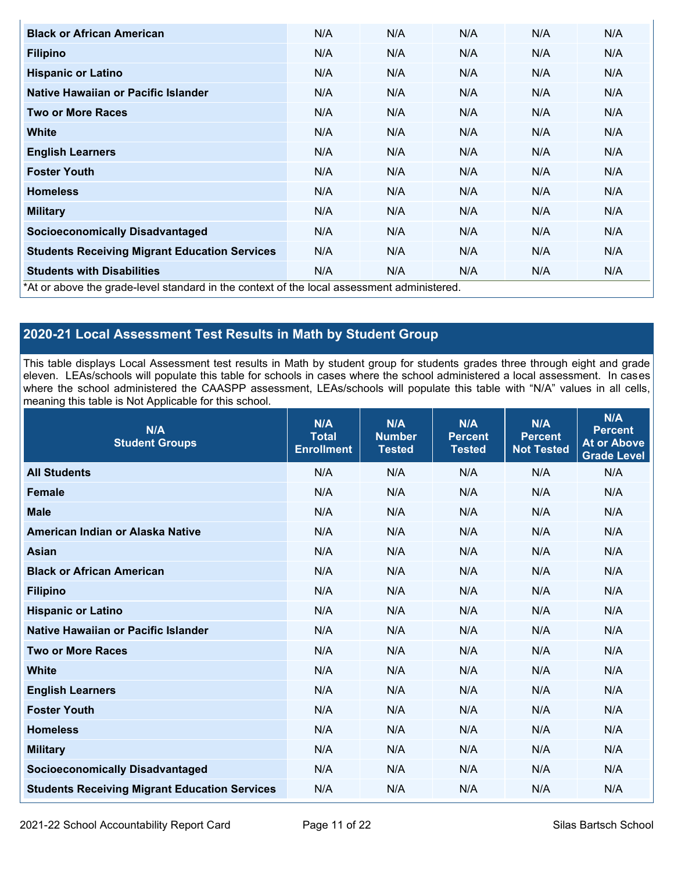| <b>Black or African American</b>                                                           | N/A | N/A | N/A | N/A | N/A |
|--------------------------------------------------------------------------------------------|-----|-----|-----|-----|-----|
| <b>Filipino</b>                                                                            | N/A | N/A | N/A | N/A | N/A |
| <b>Hispanic or Latino</b>                                                                  | N/A | N/A | N/A | N/A | N/A |
| Native Hawaiian or Pacific Islander                                                        | N/A | N/A | N/A | N/A | N/A |
| <b>Two or More Races</b>                                                                   | N/A | N/A | N/A | N/A | N/A |
| <b>White</b>                                                                               | N/A | N/A | N/A | N/A | N/A |
| <b>English Learners</b>                                                                    | N/A | N/A | N/A | N/A | N/A |
| <b>Foster Youth</b>                                                                        | N/A | N/A | N/A | N/A | N/A |
| <b>Homeless</b>                                                                            | N/A | N/A | N/A | N/A | N/A |
| <b>Military</b>                                                                            | N/A | N/A | N/A | N/A | N/A |
| <b>Socioeconomically Disadvantaged</b>                                                     | N/A | N/A | N/A | N/A | N/A |
| <b>Students Receiving Migrant Education Services</b>                                       | N/A | N/A | N/A | N/A | N/A |
| <b>Students with Disabilities</b>                                                          | N/A | N/A | N/A | N/A | N/A |
| *At or above the grade-level standard in the context of the local assessment administered. |     |     |     |     |     |

## **2020-21 Local Assessment Test Results in Math by Student Group**

This table displays Local Assessment test results in Math by student group for students grades three through eight and grade eleven. LEAs/schools will populate this table for schools in cases where the school administered a local assessment. In cases where the school administered the CAASPP assessment, LEAs/schools will populate this table with "N/A" values in all cells, meaning this table is Not Applicable for this school.

| N/A<br><b>Student Groups</b>                         | N/A<br><b>Total</b><br><b>Enrollment</b> | N/A<br><b>Number</b><br><b>Tested</b> | N/A<br><b>Percent</b><br><b>Tested</b> | N/A<br><b>Percent</b><br><b>Not Tested</b> | N/A<br><b>Percent</b><br><b>At or Above</b><br><b>Grade Level</b> |
|------------------------------------------------------|------------------------------------------|---------------------------------------|----------------------------------------|--------------------------------------------|-------------------------------------------------------------------|
| <b>All Students</b>                                  | N/A                                      | N/A                                   | N/A                                    | N/A                                        | N/A                                                               |
| <b>Female</b>                                        | N/A                                      | N/A                                   | N/A                                    | N/A                                        | N/A                                                               |
| <b>Male</b>                                          | N/A                                      | N/A                                   | N/A                                    | N/A                                        | N/A                                                               |
| American Indian or Alaska Native                     | N/A                                      | N/A                                   | N/A                                    | N/A                                        | N/A                                                               |
| <b>Asian</b>                                         | N/A                                      | N/A                                   | N/A                                    | N/A                                        | N/A                                                               |
| <b>Black or African American</b>                     | N/A                                      | N/A                                   | N/A                                    | N/A                                        | N/A                                                               |
| <b>Filipino</b>                                      | N/A                                      | N/A                                   | N/A                                    | N/A                                        | N/A                                                               |
| <b>Hispanic or Latino</b>                            | N/A                                      | N/A                                   | N/A                                    | N/A                                        | N/A                                                               |
| Native Hawaiian or Pacific Islander                  | N/A                                      | N/A                                   | N/A                                    | N/A                                        | N/A                                                               |
| <b>Two or More Races</b>                             | N/A                                      | N/A                                   | N/A                                    | N/A                                        | N/A                                                               |
| <b>White</b>                                         | N/A                                      | N/A                                   | N/A                                    | N/A                                        | N/A                                                               |
| <b>English Learners</b>                              | N/A                                      | N/A                                   | N/A                                    | N/A                                        | N/A                                                               |
| <b>Foster Youth</b>                                  | N/A                                      | N/A                                   | N/A                                    | N/A                                        | N/A                                                               |
| <b>Homeless</b>                                      | N/A                                      | N/A                                   | N/A                                    | N/A                                        | N/A                                                               |
| <b>Military</b>                                      | N/A                                      | N/A                                   | N/A                                    | N/A                                        | N/A                                                               |
| <b>Socioeconomically Disadvantaged</b>               | N/A                                      | N/A                                   | N/A                                    | N/A                                        | N/A                                                               |
| <b>Students Receiving Migrant Education Services</b> | N/A                                      | N/A                                   | N/A                                    | N/A                                        | N/A                                                               |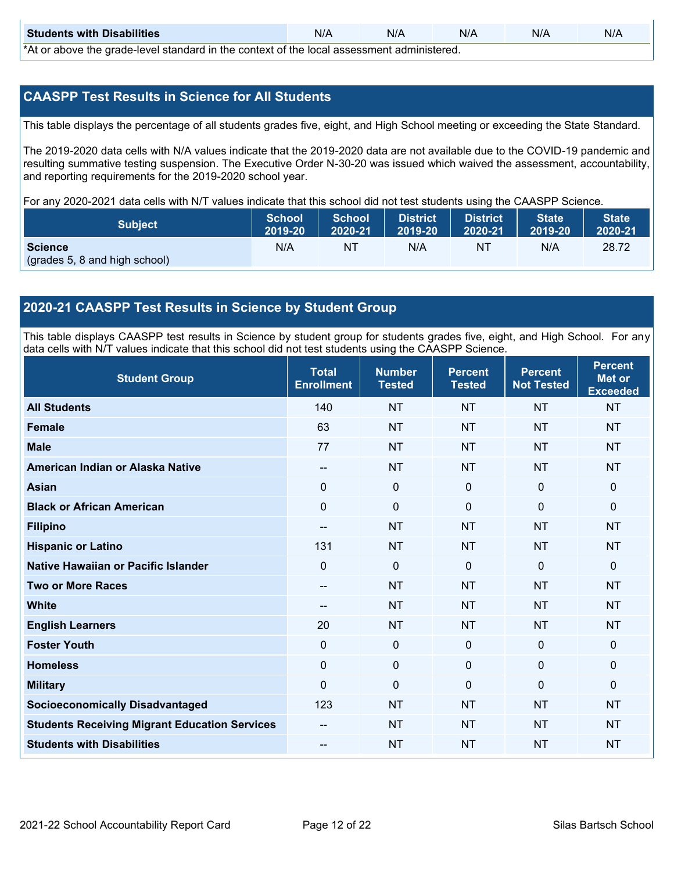| <b>Students with Disabilities</b>                                                           | N/A | N/A | N/A | N/A | N/A |  |  |
|---------------------------------------------------------------------------------------------|-----|-----|-----|-----|-----|--|--|
| *At as above the escale level standard in the context of the local accordinate admissioned. |     |     |     |     |     |  |  |

\*At or above the grade-level standard in the context of the local assessment administered.

#### **CAASPP Test Results in Science for All Students**

This table displays the percentage of all students grades five, eight, and High School meeting or exceeding the State Standard.

The 2019-2020 data cells with N/A values indicate that the 2019-2020 data are not available due to the COVID-19 pandemic and resulting summative testing suspension. The Executive Order N-30-20 was issued which waived the assessment, accountability, and reporting requirements for the 2019-2020 school year.

For any 2020-2021 data cells with N/T values indicate that this school did not test students using the CAASPP Science.

| <b>Subject</b>                | <b>School</b><br>2019-20 | <b>School</b><br>2020-21 | <b>District</b><br>12019-20 | District<br>2020-21 | <b>State</b><br>2019-20 | <b>State</b><br>2020-21 |
|-------------------------------|--------------------------|--------------------------|-----------------------------|---------------------|-------------------------|-------------------------|
| <b>Science</b>                | N/A                      | ΝT                       | N/A                         | NT                  | N/A                     | 28.72                   |
| (grades 5, 8 and high school) |                          |                          |                             |                     |                         |                         |

### **2020-21 CAASPP Test Results in Science by Student Group**

This table displays CAASPP test results in Science by student group for students grades five, eight, and High School. For any data cells with N/T values indicate that this school did not test students using the CAASPP Science.

| <b>Student Group</b>                                 | <b>Total</b><br><b>Enrollment</b> | <b>Number</b><br><b>Tested</b> | <b>Percent</b><br><b>Tested</b> | <b>Percent</b><br><b>Not Tested</b> | <b>Percent</b><br><b>Met or</b><br><b>Exceeded</b> |
|------------------------------------------------------|-----------------------------------|--------------------------------|---------------------------------|-------------------------------------|----------------------------------------------------|
| <b>All Students</b>                                  | 140                               | <b>NT</b>                      | <b>NT</b>                       | <b>NT</b>                           | <b>NT</b>                                          |
| <b>Female</b>                                        | 63                                | <b>NT</b>                      | <b>NT</b>                       | <b>NT</b>                           | <b>NT</b>                                          |
| <b>Male</b>                                          | 77                                | <b>NT</b>                      | <b>NT</b>                       | <b>NT</b>                           | <b>NT</b>                                          |
| American Indian or Alaska Native                     | $\sim$                            | <b>NT</b>                      | <b>NT</b>                       | <b>NT</b>                           | <b>NT</b>                                          |
| <b>Asian</b>                                         | 0                                 | $\pmb{0}$                      | $\mathbf 0$                     | $\mathbf 0$                         | $\mathbf 0$                                        |
| <b>Black or African American</b>                     | 0                                 | $\pmb{0}$                      | $\mathbf 0$                     | $\mathbf 0$                         | $\mathbf 0$                                        |
| <b>Filipino</b>                                      | --                                | <b>NT</b>                      | <b>NT</b>                       | <b>NT</b>                           | <b>NT</b>                                          |
| <b>Hispanic or Latino</b>                            | 131                               | <b>NT</b>                      | <b>NT</b>                       | <b>NT</b>                           | <b>NT</b>                                          |
| Native Hawaiian or Pacific Islander                  | 0                                 | $\mathbf 0$                    | $\mathbf 0$                     | $\mathbf 0$                         | $\mathbf{0}$                                       |
| <b>Two or More Races</b>                             | --                                | <b>NT</b>                      | <b>NT</b>                       | <b>NT</b>                           | <b>NT</b>                                          |
| <b>White</b>                                         | --                                | <b>NT</b>                      | <b>NT</b>                       | <b>NT</b>                           | <b>NT</b>                                          |
| <b>English Learners</b>                              | 20                                | <b>NT</b>                      | <b>NT</b>                       | <b>NT</b>                           | <b>NT</b>                                          |
| <b>Foster Youth</b>                                  | 0                                 | $\pmb{0}$                      | $\mathbf 0$                     | $\mathbf 0$                         | $\mathbf 0$                                        |
| <b>Homeless</b>                                      | 0                                 | $\mathbf 0$                    | $\mathbf 0$                     | $\mathbf 0$                         | $\mathbf 0$                                        |
| <b>Military</b>                                      | $\Omega$                          | 0                              | $\mathbf 0$                     | $\mathbf{0}$                        | $\mathbf{0}$                                       |
| <b>Socioeconomically Disadvantaged</b>               | 123                               | <b>NT</b>                      | <b>NT</b>                       | <b>NT</b>                           | <b>NT</b>                                          |
| <b>Students Receiving Migrant Education Services</b> |                                   | <b>NT</b>                      | <b>NT</b>                       | <b>NT</b>                           | <b>NT</b>                                          |
| <b>Students with Disabilities</b>                    | --                                | <b>NT</b>                      | <b>NT</b>                       | <b>NT</b>                           | <b>NT</b>                                          |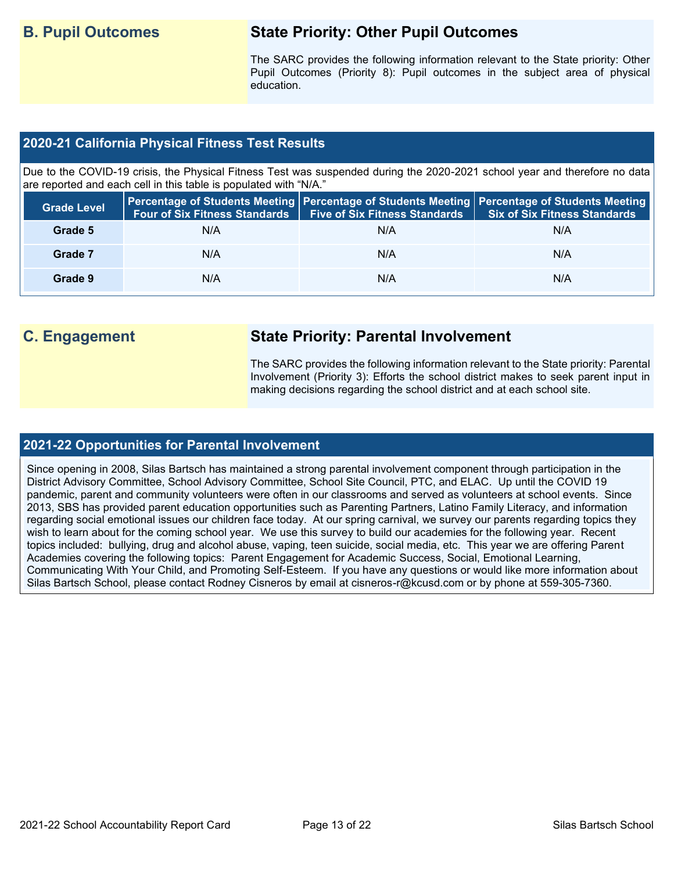# **B. Pupil Outcomes State Priority: Other Pupil Outcomes**

The SARC provides the following information relevant to the State priority: Other Pupil Outcomes (Priority 8): Pupil outcomes in the subject area of physical education.

#### **2020-21 California Physical Fitness Test Results**

Due to the COVID-19 crisis, the Physical Fitness Test was suspended during the 2020-2021 school year and therefore no data are reported and each cell in this table is populated with "N/A."

| <b>Grade Level</b> | <b>Four of Six Fitness Standards</b> | <b>Five of Six Fitness Standards</b> | Percentage of Students Meeting   Percentage of Students Meeting   Percentage of Students Meeting  <br><b>Six of Six Fitness Standards</b> |
|--------------------|--------------------------------------|--------------------------------------|-------------------------------------------------------------------------------------------------------------------------------------------|
| Grade 5            | N/A                                  | N/A                                  | N/A                                                                                                                                       |
| Grade 7            | N/A                                  | N/A                                  | N/A                                                                                                                                       |
| Grade 9            | N/A                                  | N/A                                  | N/A                                                                                                                                       |

# **C. Engagement State Priority: Parental Involvement**

The SARC provides the following information relevant to the State priority: Parental Involvement (Priority 3): Efforts the school district makes to seek parent input in making decisions regarding the school district and at each school site.

#### **2021-22 Opportunities for Parental Involvement**

Since opening in 2008, Silas Bartsch has maintained a strong parental involvement component through participation in the District Advisory Committee, School Advisory Committee, School Site Council, PTC, and ELAC. Up until the COVID 19 pandemic, parent and community volunteers were often in our classrooms and served as volunteers at school events. Since 2013, SBS has provided parent education opportunities such as Parenting Partners, Latino Family Literacy, and information regarding social emotional issues our children face today. At our spring carnival, we survey our parents regarding topics they wish to learn about for the coming school year. We use this survey to build our academies for the following year. Recent topics included: bullying, drug and alcohol abuse, vaping, teen suicide, social media, etc. This year we are offering Parent Academies covering the following topics: Parent Engagement for Academic Success, Social, Emotional Learning, Communicating With Your Child, and Promoting Self-Esteem. If you have any questions or would like more information about Silas Bartsch School, please contact Rodney Cisneros by email at cisneros-r@kcusd.com or by phone at 559-305-7360.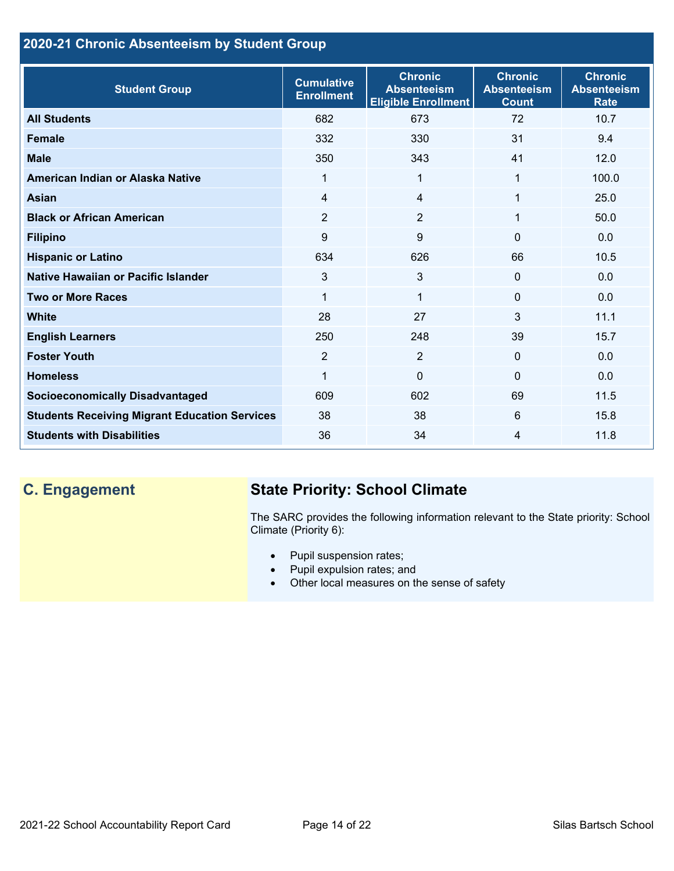## **2020-21 Chronic Absenteeism by Student Group**

| <b>Student Group</b>                                 | <b>Cumulative</b><br><b>Enrollment</b> | <b>Chronic</b><br><b>Absenteeism</b><br><b>Eligible Enrollment</b> | <b>Chronic</b><br><b>Absenteeism</b><br><b>Count</b> | <b>Chronic</b><br><b>Absenteeism</b><br><b>Rate</b> |
|------------------------------------------------------|----------------------------------------|--------------------------------------------------------------------|------------------------------------------------------|-----------------------------------------------------|
| <b>All Students</b>                                  | 682                                    | 673                                                                | 72                                                   | 10.7                                                |
| <b>Female</b>                                        | 332                                    | 330                                                                | 31                                                   | 9.4                                                 |
| <b>Male</b>                                          | 350                                    | 343                                                                | 41                                                   | 12.0                                                |
| American Indian or Alaska Native                     | 1                                      | $\mathbf{1}$                                                       | 1                                                    | 100.0                                               |
| <b>Asian</b>                                         | 4                                      | 4                                                                  | 1                                                    | 25.0                                                |
| <b>Black or African American</b>                     | $\overline{2}$                         | $\overline{2}$                                                     | 1                                                    | 50.0                                                |
| <b>Filipino</b>                                      | 9                                      | 9                                                                  | $\mathbf{0}$                                         | 0.0                                                 |
| <b>Hispanic or Latino</b>                            | 634                                    | 626                                                                | 66                                                   | 10.5                                                |
| <b>Native Hawaiian or Pacific Islander</b>           | 3                                      | 3                                                                  | $\mathbf 0$                                          | 0.0                                                 |
| <b>Two or More Races</b>                             | $\mathbf{1}$                           | $\mathbf{1}$                                                       | $\mathbf 0$                                          | 0.0                                                 |
| <b>White</b>                                         | 28                                     | 27                                                                 | 3                                                    | 11.1                                                |
| <b>English Learners</b>                              | 250                                    | 248                                                                | 39                                                   | 15.7                                                |
| <b>Foster Youth</b>                                  | $\overline{2}$                         | $\overline{2}$                                                     | $\mathbf{0}$                                         | 0.0                                                 |
| <b>Homeless</b>                                      | 1                                      | $\mathbf 0$                                                        | $\Omega$                                             | 0.0                                                 |
| <b>Socioeconomically Disadvantaged</b>               | 609                                    | 602                                                                | 69                                                   | 11.5                                                |
| <b>Students Receiving Migrant Education Services</b> | 38                                     | 38                                                                 | 6                                                    | 15.8                                                |
| <b>Students with Disabilities</b>                    | 36                                     | 34                                                                 | 4                                                    | 11.8                                                |

# **C. Engagement State Priority: School Climate**

The SARC provides the following information relevant to the State priority: School Climate (Priority 6):

- Pupil suspension rates;
- Pupil expulsion rates; and
- Other local measures on the sense of safety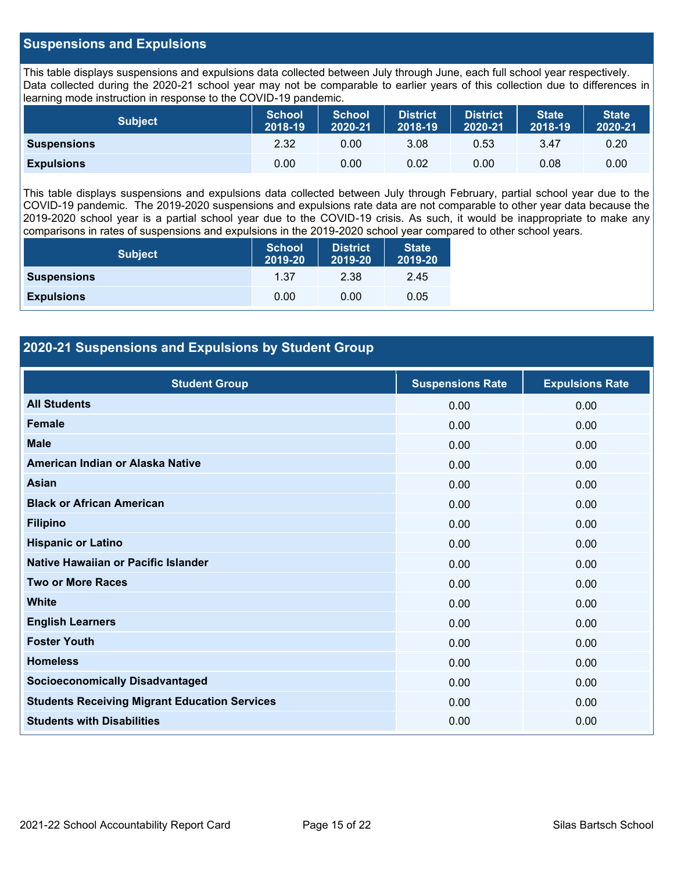#### **Suspensions and Expulsions**

This table displays suspensions and expulsions data collected between July through June, each full school year respectively. Data collected during the 2020-21 school year may not be comparable to earlier years of this collection due to differences in learning mode instruction in response to the COVID-19 pandemic.

| <b>Subject</b>     | <b>School</b><br>2018-19 | <b>School</b><br>2020-21 | <b>District</b><br>2018-19 | <b>District</b><br>2020-21 | <b>State</b><br>2018-19 | <b>State</b><br>2020-21 |
|--------------------|--------------------------|--------------------------|----------------------------|----------------------------|-------------------------|-------------------------|
| <b>Suspensions</b> | 2.32                     | 0.00                     | 3.08                       | 0.53                       | 3.47                    | 0.20                    |
| <b>Expulsions</b>  | 0.00                     | 0.00                     | 0.02                       | 0.00                       | 0.08                    | 0.00                    |

This table displays suspensions and expulsions data collected between July through February, partial school year due to the COVID-19 pandemic. The 2019-2020 suspensions and expulsions rate data are not comparable to other year data because the 2019-2020 school year is a partial school year due to the COVID-19 crisis. As such, it would be inappropriate to make any comparisons in rates of suspensions and expulsions in the 2019-2020 school year compared to other school years.

| <b>Subject</b>     | School<br>2019-20 | <b>District</b><br>2019-20 | <b>State</b><br>2019-20 |
|--------------------|-------------------|----------------------------|-------------------------|
| <b>Suspensions</b> | 1.37              | 2.38                       | 2.45                    |
| <b>Expulsions</b>  | 0.00              | 0.00                       | 0.05                    |

### **2020-21 Suspensions and Expulsions by Student Group**

| <b>Student Group</b>                                 | <b>Suspensions Rate</b> | <b>Expulsions Rate</b> |
|------------------------------------------------------|-------------------------|------------------------|
| <b>All Students</b>                                  | 0.00                    | 0.00                   |
| <b>Female</b>                                        | 0.00                    | 0.00                   |
| <b>Male</b>                                          | 0.00                    | 0.00                   |
| American Indian or Alaska Native                     | 0.00                    | 0.00                   |
| <b>Asian</b>                                         | 0.00                    | 0.00                   |
| <b>Black or African American</b>                     | 0.00                    | 0.00                   |
| <b>Filipino</b>                                      | 0.00                    | 0.00                   |
| <b>Hispanic or Latino</b>                            | 0.00                    | 0.00                   |
| Native Hawaiian or Pacific Islander                  | 0.00                    | 0.00                   |
| <b>Two or More Races</b>                             | 0.00                    | 0.00                   |
| <b>White</b>                                         | 0.00                    | 0.00                   |
| <b>English Learners</b>                              | 0.00                    | 0.00                   |
| <b>Foster Youth</b>                                  | 0.00                    | 0.00                   |
| <b>Homeless</b>                                      | 0.00                    | 0.00                   |
| <b>Socioeconomically Disadvantaged</b>               | 0.00                    | 0.00                   |
| <b>Students Receiving Migrant Education Services</b> | 0.00                    | 0.00                   |
| <b>Students with Disabilities</b>                    | 0.00                    | 0.00                   |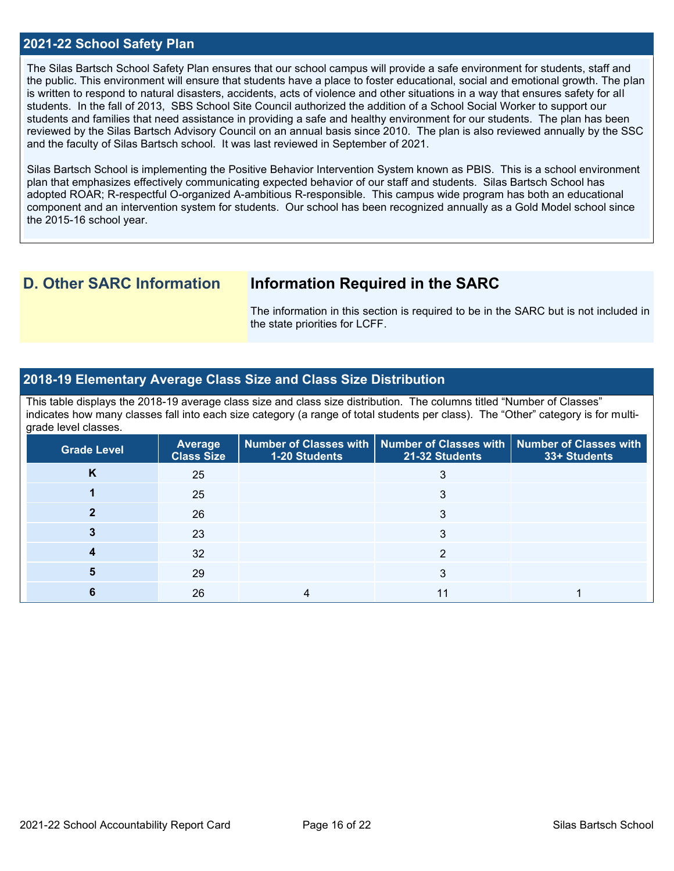#### **2021-22 School Safety Plan**

The Silas Bartsch School Safety Plan ensures that our school campus will provide a safe environment for students, staff and the public. This environment will ensure that students have a place to foster educational, social and emotional growth. The plan is written to respond to natural disasters, accidents, acts of violence and other situations in a way that ensures safety for all students. In the fall of 2013, SBS School Site Council authorized the addition of a School Social Worker to support our students and families that need assistance in providing a safe and healthy environment for our students. The plan has been reviewed by the Silas Bartsch Advisory Council on an annual basis since 2010. The plan is also reviewed annually by the SSC and the faculty of Silas Bartsch school. It was last reviewed in September of 2021.

Silas Bartsch School is implementing the Positive Behavior Intervention System known as PBIS. This is a school environment plan that emphasizes effectively communicating expected behavior of our staff and students. Silas Bartsch School has adopted ROAR; R-respectful O-organized A-ambitious R-responsible. This campus wide program has both an educational component and an intervention system for students. Our school has been recognized annually as a Gold Model school since the 2015-16 school year.

## **D. Other SARC Information Information Required in the SARC**

The information in this section is required to be in the SARC but is not included in the state priorities for LCFF.

#### **2018-19 Elementary Average Class Size and Class Size Distribution**

This table displays the 2018-19 average class size and class size distribution. The columns titled "Number of Classes" indicates how many classes fall into each size category (a range of total students per class). The "Other" category is for multigrade level classes.

| <b>Grade Level</b> | Average<br><b>Class Size</b> | <b>1-20 Students</b> | Number of Classes with   Number of Classes with   Number of Classes with<br>21-32 Students | 33+ Students |
|--------------------|------------------------------|----------------------|--------------------------------------------------------------------------------------------|--------------|
| Κ                  | 25                           |                      |                                                                                            |              |
|                    | 25                           |                      |                                                                                            |              |
|                    | 26                           |                      | 3                                                                                          |              |
|                    | 23                           |                      |                                                                                            |              |
|                    | 32                           |                      | ⌒                                                                                          |              |
|                    | 29                           |                      | 3                                                                                          |              |
|                    | 26                           |                      |                                                                                            |              |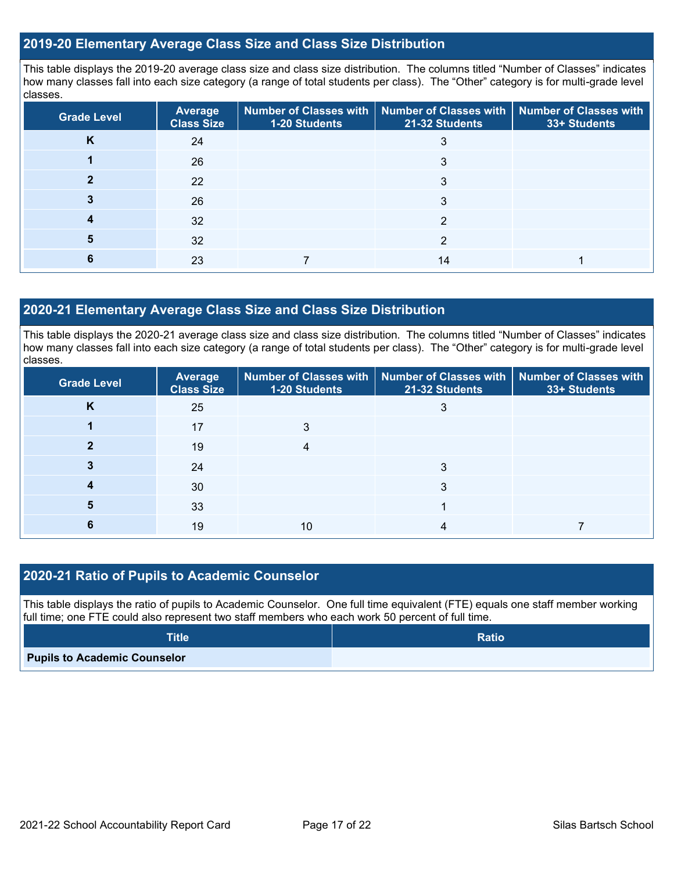#### **2019-20 Elementary Average Class Size and Class Size Distribution**

This table displays the 2019-20 average class size and class size distribution. The columns titled "Number of Classes" indicates how many classes fall into each size category (a range of total students per class). The "Other" category is for multi-grade level classes.

| <b>Grade Level</b> | <b>Average</b><br><b>Class Size</b> | <b>1-20 Students</b> | Number of Classes with   Number of Classes with   Number of Classes with<br>21-32 Students | 33+ Students |
|--------------------|-------------------------------------|----------------------|--------------------------------------------------------------------------------------------|--------------|
| K                  | 24                                  |                      | 3                                                                                          |              |
|                    | 26                                  |                      |                                                                                            |              |
|                    | 22                                  |                      | 3                                                                                          |              |
|                    | 26                                  |                      | 3                                                                                          |              |
|                    | 32                                  |                      |                                                                                            |              |
|                    | 32                                  |                      | ◠                                                                                          |              |
|                    | 23                                  |                      | 14                                                                                         |              |

#### **2020-21 Elementary Average Class Size and Class Size Distribution**

This table displays the 2020-21 average class size and class size distribution. The columns titled "Number of Classes" indicates how many classes fall into each size category (a range of total students per class). The "Other" category is for multi-grade level classes.

| <b>Grade Level</b> | <b>Average</b><br><b>Class Size</b> | 1-20 Students | Number of Classes with   Number of Classes with   Number of Classes with<br>21-32 Students | 33+ Students |
|--------------------|-------------------------------------|---------------|--------------------------------------------------------------------------------------------|--------------|
| K                  | 25                                  |               |                                                                                            |              |
|                    | 17                                  |               |                                                                                            |              |
|                    | 19                                  |               |                                                                                            |              |
|                    | 24                                  |               | 3                                                                                          |              |
|                    | 30                                  |               | 3                                                                                          |              |
|                    | 33                                  |               |                                                                                            |              |
|                    | 19                                  | 10            |                                                                                            |              |

### **2020-21 Ratio of Pupils to Academic Counselor**

This table displays the ratio of pupils to Academic Counselor. One full time equivalent (FTE) equals one staff member working full time; one FTE could also represent two staff members who each work 50 percent of full time.

| <b>Title</b>                        | <b>Ratio</b> |
|-------------------------------------|--------------|
| <b>Pupils to Academic Counselor</b> |              |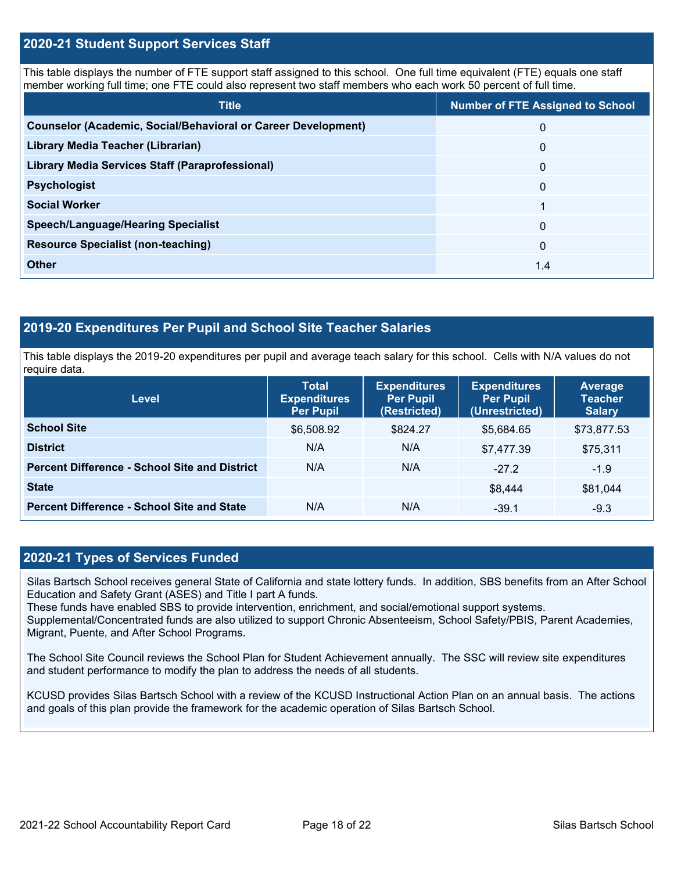#### **2020-21 Student Support Services Staff**

This table displays the number of FTE support staff assigned to this school. One full time equivalent (FTE) equals one staff member working full time; one FTE could also represent two staff members who each work 50 percent of full time.

| <b>Title</b>                                                         | <b>Number of FTE Assigned to School</b> |
|----------------------------------------------------------------------|-----------------------------------------|
| <b>Counselor (Academic, Social/Behavioral or Career Development)</b> | $\mathbf{0}$                            |
| Library Media Teacher (Librarian)                                    | $\mathbf{0}$                            |
| Library Media Services Staff (Paraprofessional)                      | $\mathbf{0}$                            |
| <b>Psychologist</b>                                                  | $\mathbf{0}$                            |
| <b>Social Worker</b>                                                 |                                         |
| <b>Speech/Language/Hearing Specialist</b>                            | $\mathbf{0}$                            |
| <b>Resource Specialist (non-teaching)</b>                            | $\mathbf{0}$                            |
| <b>Other</b>                                                         | 1.4                                     |

#### **2019-20 Expenditures Per Pupil and School Site Teacher Salaries**

This table displays the 2019-20 expenditures per pupil and average teach salary for this school. Cells with N/A values do not require data.

| <b>Level</b>                                         | <b>Total</b><br><b>Expenditures</b><br><b>Per Pupil</b> | <b>Expenditures</b><br><b>Per Pupil</b><br>(Restricted) | <b>Expenditures</b><br><b>Per Pupil</b><br>(Unrestricted) | <b>Average</b><br><b>Teacher</b><br><b>Salary</b> |
|------------------------------------------------------|---------------------------------------------------------|---------------------------------------------------------|-----------------------------------------------------------|---------------------------------------------------|
| <b>School Site</b>                                   | \$6,508.92                                              | \$824.27                                                | \$5,684.65                                                | \$73,877.53                                       |
| <b>District</b>                                      | N/A                                                     | N/A                                                     | \$7,477.39                                                | \$75,311                                          |
| <b>Percent Difference - School Site and District</b> | N/A                                                     | N/A                                                     | $-27.2$                                                   | $-1.9$                                            |
| <b>State</b>                                         |                                                         |                                                         | \$8,444                                                   | \$81,044                                          |
| <b>Percent Difference - School Site and State</b>    | N/A                                                     | N/A                                                     | $-39.1$                                                   | $-9.3$                                            |

#### **2020-21 Types of Services Funded**

Silas Bartsch School receives general State of California and state lottery funds. In addition, SBS benefits from an After School Education and Safety Grant (ASES) and Title I part A funds.

These funds have enabled SBS to provide intervention, enrichment, and social/emotional support systems.

Supplemental/Concentrated funds are also utilized to support Chronic Absenteeism, School Safety/PBIS, Parent Academies, Migrant, Puente, and After School Programs.

The School Site Council reviews the School Plan for Student Achievement annually. The SSC will review site expenditures and student performance to modify the plan to address the needs of all students.

KCUSD provides Silas Bartsch School with a review of the KCUSD Instructional Action Plan on an annual basis. The actions and goals of this plan provide the framework for the academic operation of Silas Bartsch School.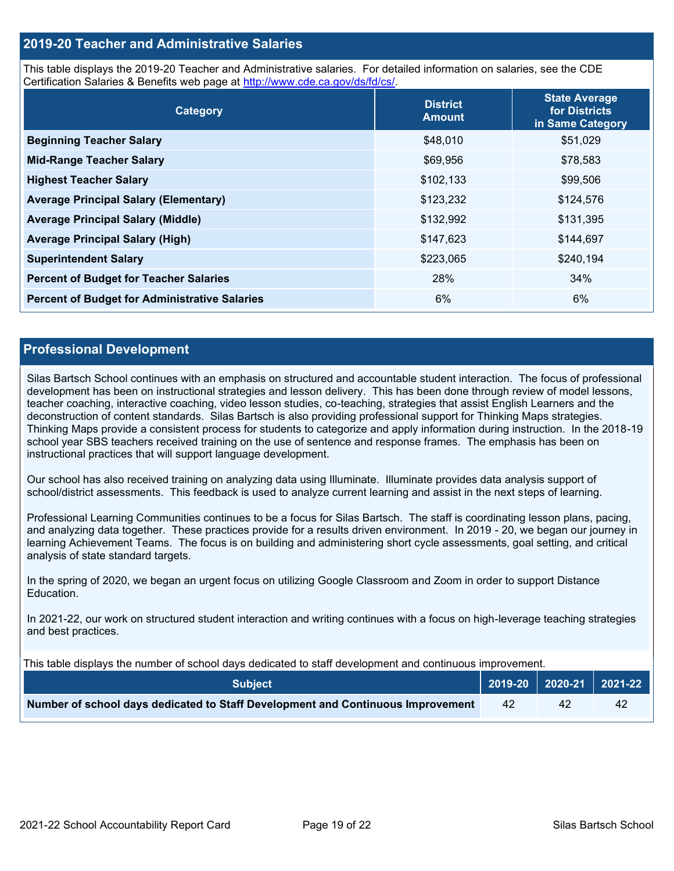#### **2019-20 Teacher and Administrative Salaries**

This table displays the 2019-20 Teacher and Administrative salaries. For detailed information on salaries, see the CDE Certification Salaries & Benefits web page at [http://www.cde.ca.gov/ds/fd/cs/.](http://www.cde.ca.gov/ds/fd/cs/)

| Category                                             | <b>District</b><br><b>Amount</b> | <b>State Average</b><br>for Districts<br>in Same Category |
|------------------------------------------------------|----------------------------------|-----------------------------------------------------------|
| <b>Beginning Teacher Salary</b>                      | \$48,010                         | \$51,029                                                  |
| <b>Mid-Range Teacher Salary</b>                      | \$69,956                         | \$78,583                                                  |
| <b>Highest Teacher Salary</b>                        | \$102,133                        | \$99,506                                                  |
| <b>Average Principal Salary (Elementary)</b>         | \$123,232                        | \$124,576                                                 |
| <b>Average Principal Salary (Middle)</b>             | \$132,992                        | \$131,395                                                 |
| <b>Average Principal Salary (High)</b>               | \$147,623                        | \$144,697                                                 |
| <b>Superintendent Salary</b>                         | \$223,065                        | \$240,194                                                 |
| <b>Percent of Budget for Teacher Salaries</b>        | 28%                              | 34%                                                       |
| <b>Percent of Budget for Administrative Salaries</b> | 6%                               | 6%                                                        |

#### **Professional Development**

Silas Bartsch School continues with an emphasis on structured and accountable student interaction. The focus of professional development has been on instructional strategies and lesson delivery. This has been done through review of model lessons, teacher coaching, interactive coaching, video lesson studies, co-teaching, strategies that assist English Learners and the deconstruction of content standards. Silas Bartsch is also providing professional support for Thinking Maps strategies. Thinking Maps provide a consistent process for students to categorize and apply information during instruction. In the 2018-19 school year SBS teachers received training on the use of sentence and response frames. The emphasis has been on instructional practices that will support language development.

Our school has also received training on analyzing data using Illuminate. Illuminate provides data analysis support of school/district assessments. This feedback is used to analyze current learning and assist in the next steps of learning.

Professional Learning Communities continues to be a focus for Silas Bartsch. The staff is coordinating lesson plans, pacing, and analyzing data together. These practices provide for a results driven environment. In 2019 - 20, we began our journey in learning Achievement Teams. The focus is on building and administering short cycle assessments, goal setting, and critical analysis of state standard targets.

In the spring of 2020, we began an urgent focus on utilizing Google Classroom and Zoom in order to support Distance Education.

In 2021-22, our work on structured student interaction and writing continues with a focus on high-leverage teaching strategies and best practices.

This table displays the number of school days dedicated to staff development and continuous improvement.

| <b>Subject</b>                                                                  |    | $\vert$ 2019-20 $\vert$ 2020-21 $\vert$ 2021-22 $\vert$ |
|---------------------------------------------------------------------------------|----|---------------------------------------------------------|
| Number of school days dedicated to Staff Development and Continuous Improvement | 42 |                                                         |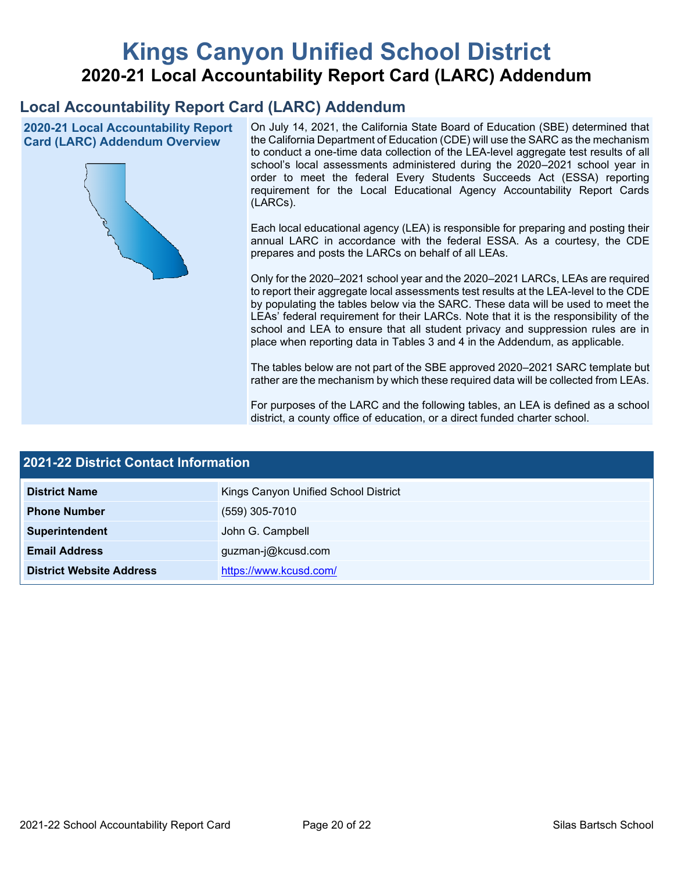# **Kings Canyon Unified School District 2020-21 Local Accountability Report Card (LARC) Addendum**

# **Local Accountability Report Card (LARC) Addendum**

**2020-21 Local Accountability Report Card (LARC) Addendum Overview**



On July 14, 2021, the California State Board of Education (SBE) determined that the California Department of Education (CDE) will use the SARC as the mechanism to conduct a one-time data collection of the LEA-level aggregate test results of all school's local assessments administered during the 2020–2021 school year in order to meet the federal Every Students Succeeds Act (ESSA) reporting requirement for the Local Educational Agency Accountability Report Cards (LARCs).

Each local educational agency (LEA) is responsible for preparing and posting their annual LARC in accordance with the federal ESSA. As a courtesy, the CDE prepares and posts the LARCs on behalf of all LEAs.

Only for the 2020–2021 school year and the 2020–2021 LARCs, LEAs are required to report their aggregate local assessments test results at the LEA-level to the CDE by populating the tables below via the SARC. These data will be used to meet the LEAs' federal requirement for their LARCs. Note that it is the responsibility of the school and LEA to ensure that all student privacy and suppression rules are in place when reporting data in Tables 3 and 4 in the Addendum, as applicable.

The tables below are not part of the SBE approved 2020–2021 SARC template but rather are the mechanism by which these required data will be collected from LEAs.

For purposes of the LARC and the following tables, an LEA is defined as a school district, a county office of education, or a direct funded charter school.

| <b>2021-22 District Contact Information</b> |                                      |  |  |  |
|---------------------------------------------|--------------------------------------|--|--|--|
| <b>District Name</b>                        | Kings Canyon Unified School District |  |  |  |
| <b>Phone Number</b>                         | $(559)$ 305-7010                     |  |  |  |
| Superintendent                              | John G. Campbell                     |  |  |  |
| <b>Email Address</b>                        | guzman-j@kcusd.com                   |  |  |  |
| <b>District Website Address</b>             | https://www.kcusd.com/               |  |  |  |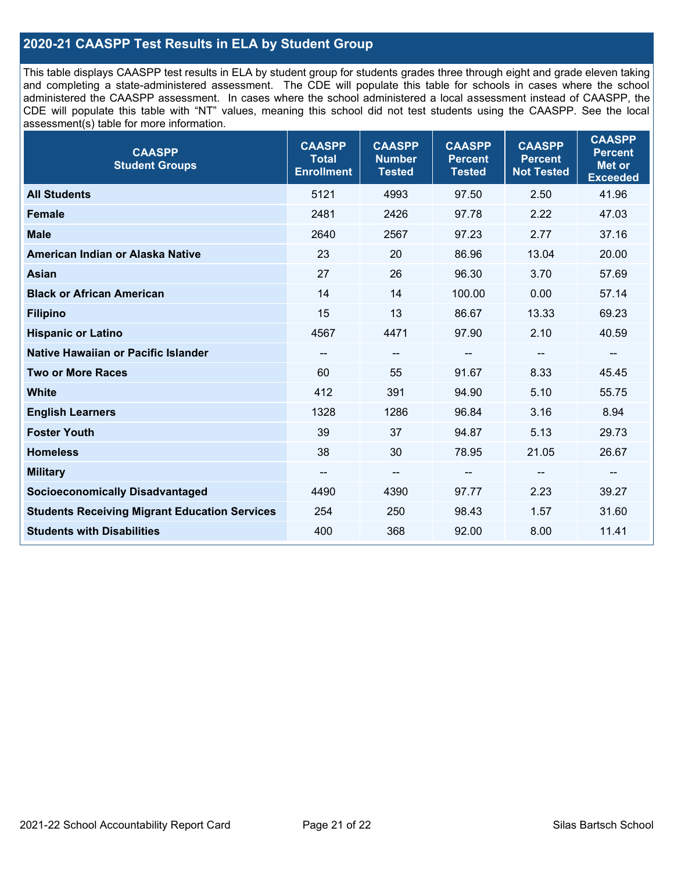### **2020-21 CAASPP Test Results in ELA by Student Group**

This table displays CAASPP test results in ELA by student group for students grades three through eight and grade eleven taking and completing a state-administered assessment. The CDE will populate this table for schools in cases where the school administered the CAASPP assessment. In cases where the school administered a local assessment instead of CAASPP, the CDE will populate this table with "NT" values, meaning this school did not test students using the CAASPP. See the local assessment(s) table for more information.

| <b>CAASPP</b><br><b>Student Groups</b>               | <b>CAASPP</b><br><b>Total</b><br><b>Enrollment</b> | <b>CAASPP</b><br><b>Number</b><br><b>Tested</b> | <b>CAASPP</b><br><b>Percent</b><br><b>Tested</b> | <b>CAASPP</b><br><b>Percent</b><br><b>Not Tested</b> | <b>CAASPP</b><br><b>Percent</b><br><b>Met or</b><br><b>Exceeded</b> |
|------------------------------------------------------|----------------------------------------------------|-------------------------------------------------|--------------------------------------------------|------------------------------------------------------|---------------------------------------------------------------------|
| <b>All Students</b>                                  | 5121                                               | 4993                                            | 97.50                                            | 2.50                                                 | 41.96                                                               |
| <b>Female</b>                                        | 2481                                               | 2426                                            | 97.78                                            | 2.22                                                 | 47.03                                                               |
| <b>Male</b>                                          | 2640                                               | 2567                                            | 97.23                                            | 2.77                                                 | 37.16                                                               |
| American Indian or Alaska Native                     | 23                                                 | 20                                              | 86.96                                            | 13.04                                                | 20.00                                                               |
| <b>Asian</b>                                         | 27                                                 | 26                                              | 96.30                                            | 3.70                                                 | 57.69                                                               |
| <b>Black or African American</b>                     | 14                                                 | 14                                              | 100.00                                           | 0.00                                                 | 57.14                                                               |
| <b>Filipino</b>                                      | 15                                                 | 13                                              | 86.67                                            | 13.33                                                | 69.23                                                               |
| <b>Hispanic or Latino</b>                            | 4567                                               | 4471                                            | 97.90                                            | 2.10                                                 | 40.59                                                               |
| Native Hawaiian or Pacific Islander                  | --                                                 | $\overline{\phantom{m}}$                        | --                                               | $\overline{\phantom{a}}$                             | $\overline{\phantom{a}}$                                            |
| <b>Two or More Races</b>                             | 60                                                 | 55                                              | 91.67                                            | 8.33                                                 | 45.45                                                               |
| <b>White</b>                                         | 412                                                | 391                                             | 94.90                                            | 5.10                                                 | 55.75                                                               |
| <b>English Learners</b>                              | 1328                                               | 1286                                            | 96.84                                            | 3.16                                                 | 8.94                                                                |
| <b>Foster Youth</b>                                  | 39                                                 | 37                                              | 94.87                                            | 5.13                                                 | 29.73                                                               |
| <b>Homeless</b>                                      | 38                                                 | 30                                              | 78.95                                            | 21.05                                                | 26.67                                                               |
| <b>Military</b>                                      | --                                                 | --                                              | --                                               | --                                                   | --                                                                  |
| <b>Socioeconomically Disadvantaged</b>               | 4490                                               | 4390                                            | 97.77                                            | 2.23                                                 | 39.27                                                               |
| <b>Students Receiving Migrant Education Services</b> | 254                                                | 250                                             | 98.43                                            | 1.57                                                 | 31.60                                                               |
| <b>Students with Disabilities</b>                    | 400                                                | 368                                             | 92.00                                            | 8.00                                                 | 11.41                                                               |